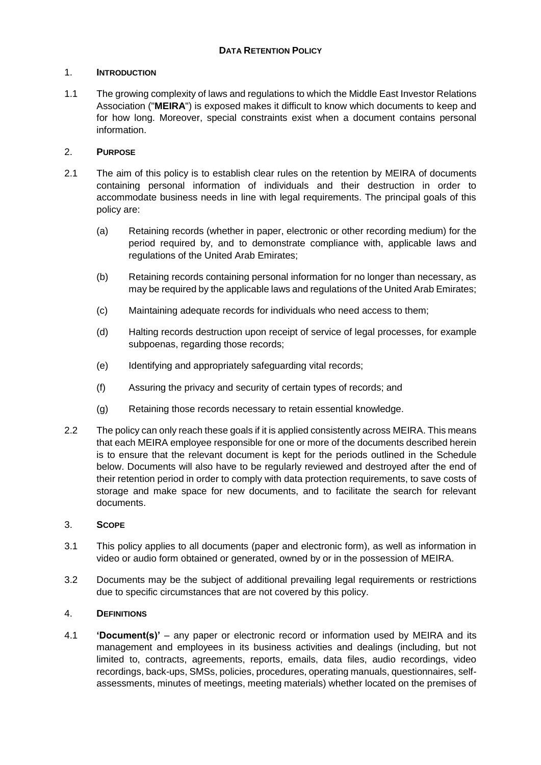### 1. **INTRODUCTION**

1.1 The growing complexity of laws and regulations to which the Middle East Investor Relations Association ("**MEIRA**") is exposed makes it difficult to know which documents to keep and for how long. Moreover, special constraints exist when a document contains personal information.

## 2. **PURPOSE**

- 2.1 The aim of this policy is to establish clear rules on the retention by MEIRA of documents containing personal information of individuals and their destruction in order to accommodate business needs in line with legal requirements. The principal goals of this policy are:
	- (a) Retaining records (whether in paper, electronic or other recording medium) for the period required by, and to demonstrate compliance with, applicable laws and regulations of the United Arab Emirates;
	- (b) Retaining records containing personal information for no longer than necessary, as may be required by the applicable laws and regulations of the United Arab Emirates;
	- (c) Maintaining adequate records for individuals who need access to them;
	- (d) Halting records destruction upon receipt of service of legal processes, for example subpoenas, regarding those records;
	- (e) Identifying and appropriately safeguarding vital records;
	- (f) Assuring the privacy and security of certain types of records; and
	- (g) Retaining those records necessary to retain essential knowledge.
- 2.2 The policy can only reach these goals if it is applied consistently across MEIRA. This means that each MEIRA employee responsible for one or more of the documents described herein is to ensure that the relevant document is kept for the periods outlined in the Schedule below. Documents will also have to be regularly reviewed and destroyed after the end of their retention period in order to comply with data protection requirements, to save costs of storage and make space for new documents, and to facilitate the search for relevant documents.

### 3. **SCOPE**

- 3.1 This policy applies to all documents (paper and electronic form), as well as information in video or audio form obtained or generated, owned by or in the possession of MEIRA.
- 3.2 Documents may be the subject of additional prevailing legal requirements or restrictions due to specific circumstances that are not covered by this policy.

#### 4. **DEFINITIONS**

4.1 **'Document(s)'** – any paper or electronic record or information used by MEIRA and its management and employees in its business activities and dealings (including, but not limited to, contracts, agreements, reports, emails, data files, audio recordings, video recordings, back-ups, SMSs, policies, procedures, operating manuals, questionnaires, selfassessments, minutes of meetings, meeting materials) whether located on the premises of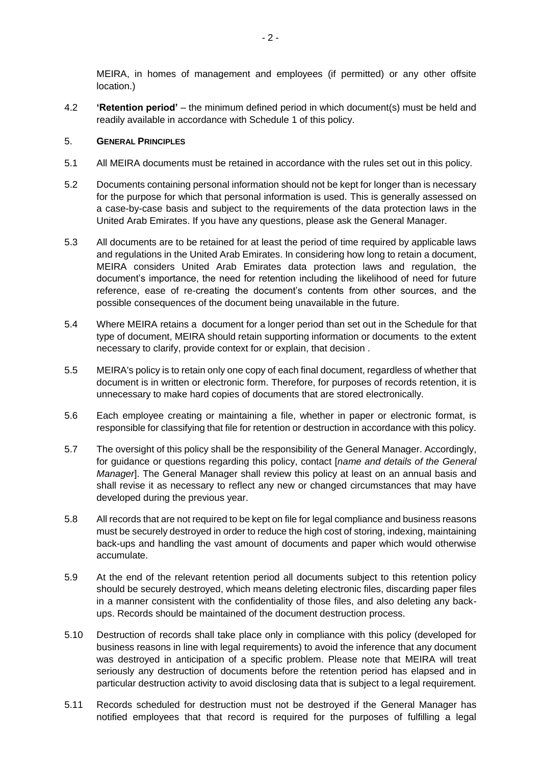MEIRA, in homes of management and employees (if permitted) or any other offsite location.)

4.2 **'Retention period'** – the minimum defined period in which document(s) must be held and readily available in accordance with Schedule 1 of this policy.

#### 5. **GENERAL PRINCIPLES**

- 5.1 All MEIRA documents must be retained in accordance with the rules set out in this policy.
- 5.2 Documents containing personal information should not be kept for longer than is necessary for the purpose for which that personal information is used. This is generally assessed on a case-by-case basis and subject to the requirements of the data protection laws in the United Arab Emirates. If you have any questions, please ask the General Manager.
- 5.3 All documents are to be retained for at least the period of time required by applicable laws and regulations in the United Arab Emirates. In considering how long to retain a document, MEIRA considers United Arab Emirates data protection laws and regulation, the document's importance, the need for retention including the likelihood of need for future reference, ease of re-creating the document's contents from other sources, and the possible consequences of the document being unavailable in the future.
- 5.4 Where MEIRA retains a document for a longer period than set out in the Schedule for that type of document, MEIRA should retain supporting information or documents to the extent necessary to clarify, provide context for or explain, that decision .
- 5.5 MEIRA's policy is to retain only one copy of each final document, regardless of whether that document is in written or electronic form. Therefore, for purposes of records retention, it is unnecessary to make hard copies of documents that are stored electronically.
- 5.6 Each employee creating or maintaining a file, whether in paper or electronic format, is responsible for classifying that file for retention or destruction in accordance with this policy.
- 5.7 The oversight of this policy shall be the responsibility of the General Manager. Accordingly, for guidance or questions regarding this policy, contact [*name and details of the General Manager*]. The General Manager shall review this policy at least on an annual basis and shall revise it as necessary to reflect any new or changed circumstances that may have developed during the previous year.
- 5.8 All records that are not required to be kept on file for legal compliance and business reasons must be securely destroyed in order to reduce the high cost of storing, indexing, maintaining back-ups and handling the vast amount of documents and paper which would otherwise accumulate.
- 5.9 At the end of the relevant retention period all documents subject to this retention policy should be securely destroyed, which means deleting electronic files, discarding paper files in a manner consistent with the confidentiality of those files, and also deleting any backups. Records should be maintained of the document destruction process.
- 5.10 Destruction of records shall take place only in compliance with this policy (developed for business reasons in line with legal requirements) to avoid the inference that any document was destroyed in anticipation of a specific problem. Please note that MEIRA will treat seriously any destruction of documents before the retention period has elapsed and in particular destruction activity to avoid disclosing data that is subject to a legal requirement.
- 5.11 Records scheduled for destruction must not be destroyed if the General Manager has notified employees that that record is required for the purposes of fulfilling a legal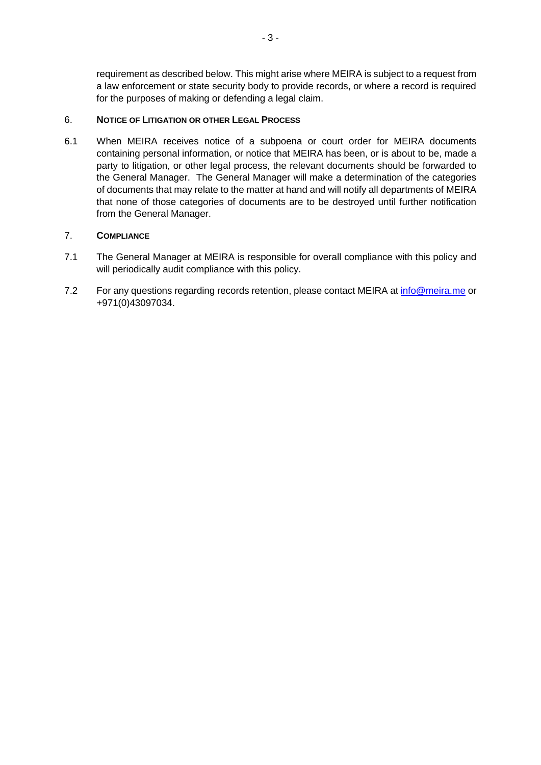requirement as described below. This might arise where MEIRA is subject to a request from a law enforcement or state security body to provide records, or where a record is required for the purposes of making or defending a legal claim.

### 6. **NOTICE OF LITIGATION OR OTHER LEGAL PROCESS**

6.1 When MEIRA receives notice of a subpoena or court order for MEIRA documents containing personal information, or notice that MEIRA has been, or is about to be, made a party to litigation, or other legal process, the relevant documents should be forwarded to the General Manager. The General Manager will make a determination of the categories of documents that may relate to the matter at hand and will notify all departments of MEIRA that none of those categories of documents are to be destroyed until further notification from the General Manager.

## 7. **COMPLIANCE**

- 7.1 The General Manager at MEIRA is responsible for overall compliance with this policy and will periodically audit compliance with this policy.
- 7.2 For any questions regarding records retention, please contact MEIRA at [info@meira.me](mailto:info@meira.me) or +971(0)43097034.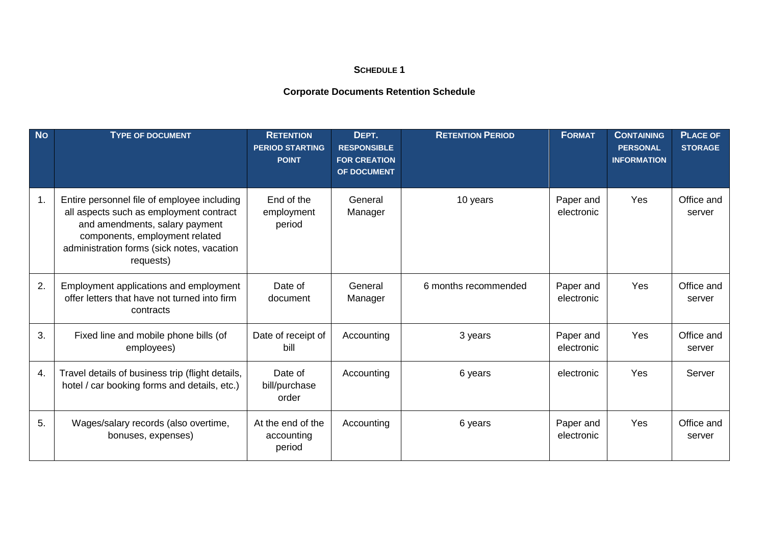# **SCHEDULE 1**

## **Corporate Documents Retention Schedule**

| <b>No</b> | <b>TYPE OF DOCUMENT</b>                                                                                                                                                                                               | <b>RETENTION</b><br><b>PERIOD STARTING</b><br><b>POINT</b> | DEPT.<br><b>RESPONSIBLE</b><br><b>FOR CREATION</b><br>OF DOCUMENT | <b>RETENTION PERIOD</b> | <b>FORMAT</b>           | <b>CONTAINING</b><br><b>PERSONAL</b><br><b>INFORMATION</b> | <b>PLACE OF</b><br><b>STORAGE</b> |
|-----------|-----------------------------------------------------------------------------------------------------------------------------------------------------------------------------------------------------------------------|------------------------------------------------------------|-------------------------------------------------------------------|-------------------------|-------------------------|------------------------------------------------------------|-----------------------------------|
| 1.        | Entire personnel file of employee including<br>all aspects such as employment contract<br>and amendments, salary payment<br>components, employment related<br>administration forms (sick notes, vacation<br>requests) | End of the<br>employment<br>period                         | General<br>Manager                                                | 10 years                | Paper and<br>electronic | Yes                                                        | Office and<br>server              |
| 2.        | Employment applications and employment<br>offer letters that have not turned into firm<br>contracts                                                                                                                   | Date of<br>document                                        | General<br>Manager                                                | 6 months recommended    | Paper and<br>electronic | Yes                                                        | Office and<br>server              |
| 3.        | Fixed line and mobile phone bills (of<br>employees)                                                                                                                                                                   | Date of receipt of<br>bill                                 | Accounting                                                        | 3 years                 | Paper and<br>electronic | Yes                                                        | Office and<br>server              |
| 4.        | Travel details of business trip (flight details,<br>hotel / car booking forms and details, etc.)                                                                                                                      | Date of<br>bill/purchase<br>order                          | Accounting                                                        | 6 years                 | electronic              | Yes                                                        | Server                            |
| 5.        | Wages/salary records (also overtime,<br>bonuses, expenses)                                                                                                                                                            | At the end of the<br>accounting<br>period                  | Accounting                                                        | 6 years                 | Paper and<br>electronic | Yes                                                        | Office and<br>server              |